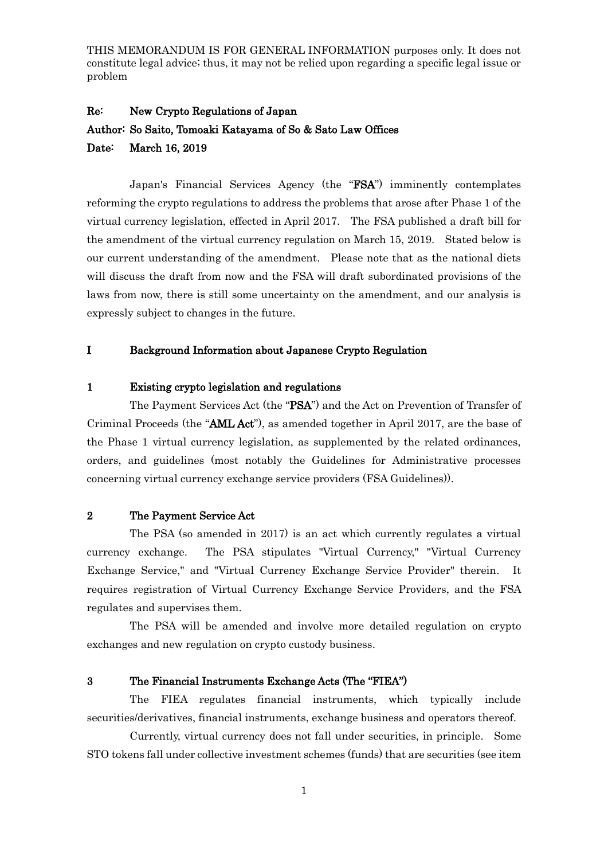# Re: New Crypto Regulations of Japan Author: So Saito, Tomoaki Katayama of So & Sato Law Offices

#### Date: March 16, 2019

Japan's Financial Services Agency (the "FSA") imminently contemplates reforming the crypto regulations to address the problems that arose after Phase 1 of the virtual currency legislation, effected in April 2017. The FSA published a draft bill for the amendment of the virtual currency regulation on March 15, 2019. Stated below is our current understanding of the amendment. Please note that as the national diets will discuss the draft from now and the FSA will draft subordinated provisions of the laws from now, there is still some uncertainty on the amendment, and our analysis is expressly subject to changes in the future.

#### I Background Information about Japanese Crypto Regulation

#### 1 Existing crypto legislation and regulations

The Payment Services Act (the "PSA") and the Act on Prevention of Transfer of Criminal Proceeds (the "AML Act"), as amended together in April 2017, are the base of the Phase 1 virtual currency legislation, as supplemented by the related ordinances, orders, and guidelines (most notably the Guidelines for Administrative processes concerning virtual currency exchange service providers (FSA Guidelines)).

#### 2 The Payment Service Act

The PSA (so amended in 2017) is an act which currently regulates a virtual currency exchange. The PSA stipulates "Virtual Currency," "Virtual Currency Exchange Service," and "Virtual Currency Exchange Service Provider" therein. It requires registration of Virtual Currency Exchange Service Providers, and the FSA regulates and supervises them.

The PSA will be amended and involve more detailed regulation on crypto exchanges and new regulation on crypto custody business.

#### 3 The Financial Instruments Exchange Acts (The "FIEA")

The FIEA regulates financial instruments, which typically include securities/derivatives, financial instruments, exchange business and operators thereof.

Currently, virtual currency does not fall under securities, in principle. Some STO tokens fall under collective investment schemes (funds) that are securities (see item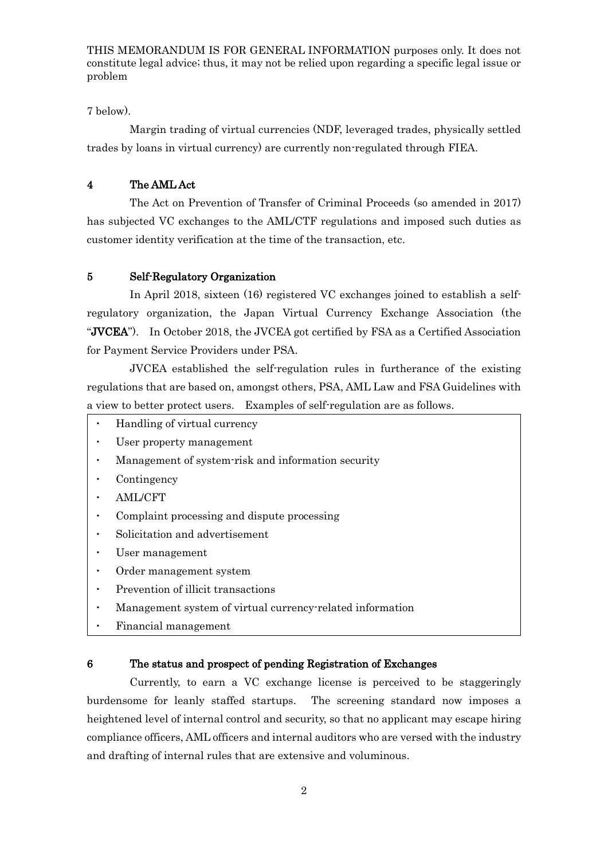#### 7 below).

Margin trading of virtual currencies (NDF, leveraged trades, physically settled trades by loans in virtual currency) are currently non-regulated through FIEA.

### 4 The AML Act

The Act on Prevention of Transfer of Criminal Proceeds (so amended in 2017) has subjected VC exchanges to the AML/CTF regulations and imposed such duties as customer identity verification at the time of the transaction, etc.

#### 5 Self-Regulatory Organization

In April 2018, sixteen (16) registered VC exchanges joined to establish a selfregulatory organization, the Japan Virtual Currency Exchange Association (the "JVCEA"). In October 2018, the JVCEA got certified by FSA as a Certified Association for Payment Service Providers under PSA.

JVCEA established the self-regulation rules in furtherance of the existing regulations that are based on, amongst others, PSA, AML Law and FSA Guidelines with a view to better protect users. Examples of self-regulation are as follows.

- Handling of virtual currency
- ・ User property management
- Management of system-risk and information security
- ・ Contingency
- ・ AML/CFT
- ・ Complaint processing and dispute processing
- ・ Solicitation and advertisement
- User management
- ・ Order management system
- Prevention of illicit transactions
- ・ Management system of virtual currency-related information
- ・ Financial management

#### 6 The status and prospect of pending Registration of Exchanges

Currently, to earn a VC exchange license is perceived to be staggeringly burdensome for leanly staffed startups. The screening standard now imposes a heightened level of internal control and security, so that no applicant may escape hiring compliance officers, AML officers and internal auditors who are versed with the industry and drafting of internal rules that are extensive and voluminous.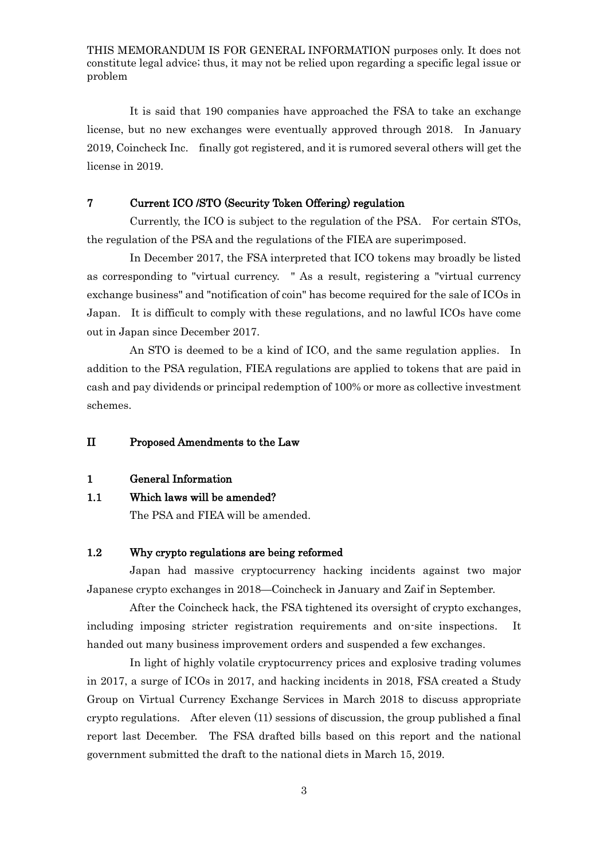It is said that 190 companies have approached the FSA to take an exchange license, but no new exchanges were eventually approved through 2018. In January 2019, Coincheck Inc. finally got registered, and it is rumored several others will get the license in 2019.

### 7 Current ICO /STO (Security Token Offering) regulation

Currently, the ICO is subject to the regulation of the PSA. For certain STOs, the regulation of the PSA and the regulations of the FIEA are superimposed.

In December 2017, the FSA interpreted that ICO tokens may broadly be listed as corresponding to "virtual currency. " As a result, registering a "virtual currency exchange business" and "notification of coin" has become required for the sale of ICOs in Japan. It is difficult to comply with these regulations, and no lawful ICOs have come out in Japan since December 2017.

An STO is deemed to be a kind of ICO, and the same regulation applies. In addition to the PSA regulation, FIEA regulations are applied to tokens that are paid in cash and pay dividends or principal redemption of 100% or more as collective investment schemes.

## II Proposed Amendments to the Law

1 General Information

### 1.1 Which laws will be amended?

The PSA and FIEA will be amended.

#### 1.2 Why crypto regulations are being reformed

 Japan had massive cryptocurrency hacking incidents against two major Japanese crypto exchanges in 2018—Coincheck in January and Zaif in September.

After the Coincheck hack, the FSA tightened its oversight of crypto exchanges, including imposing stricter registration requirements and on-site inspections. It handed out many business improvement orders and suspended a few exchanges.

In light of highly volatile cryptocurrency prices and explosive trading volumes in 2017, a surge of ICOs in 2017, and hacking incidents in 2018, FSA created a Study Group on Virtual Currency Exchange Services in March 2018 to discuss appropriate crypto regulations. After eleven (11) sessions of discussion, the group published a final report last December. The FSA drafted bills based on this report and the national government submitted the draft to the national diets in March 15, 2019.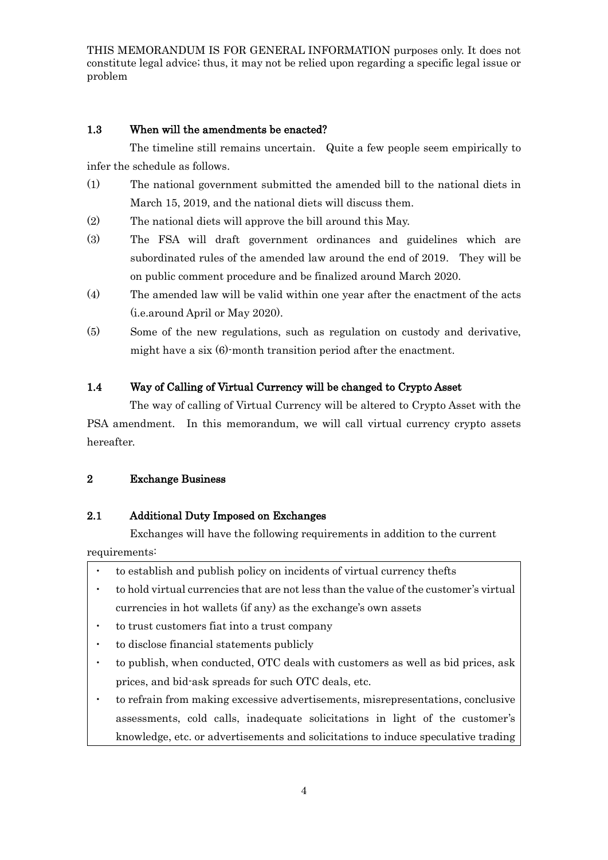## 1.3 When will the amendments be enacted?

The timeline still remains uncertain. Quite a few people seem empirically to infer the schedule as follows.

- (1) The national government submitted the amended bill to the national diets in March 15, 2019, and the national diets will discuss them.
- (2) The national diets will approve the bill around this May.
- (3) The FSA will draft government ordinances and guidelines which are subordinated rules of the amended law around the end of 2019. They will be on public comment procedure and be finalized around March 2020.
- (4) The amended law will be valid within one year after the enactment of the acts (i.e.around April or May 2020).
- (5) Some of the new regulations, such as regulation on custody and derivative, might have a six (6)-month transition period after the enactment.

# 1.4 Way of Calling of Virtual Currency will be changed to Crypto Asset

The way of calling of Virtual Currency will be altered to Crypto Asset with the PSA amendment. In this memorandum, we will call virtual currency crypto assets hereafter.

# 2 Exchange Business

# 2.1 Additional Duty Imposed on Exchanges

Exchanges will have the following requirements in addition to the current requirements:

- to establish and publish policy on incidents of virtual currency thefts
- to hold virtual currencies that are not less than the value of the customer's virtual currencies in hot wallets (if any) as the exchange's own assets
- to trust customers fiat into a trust company
- to disclose financial statements publicly
- ・ to publish, when conducted, OTC deals with customers as well as bid prices, ask prices, and bid-ask spreads for such OTC deals, etc.
- ・ to refrain from making excessive advertisements, misrepresentations, conclusive assessments, cold calls, inadequate solicitations in light of the customer's knowledge, etc. or advertisements and solicitations to induce speculative trading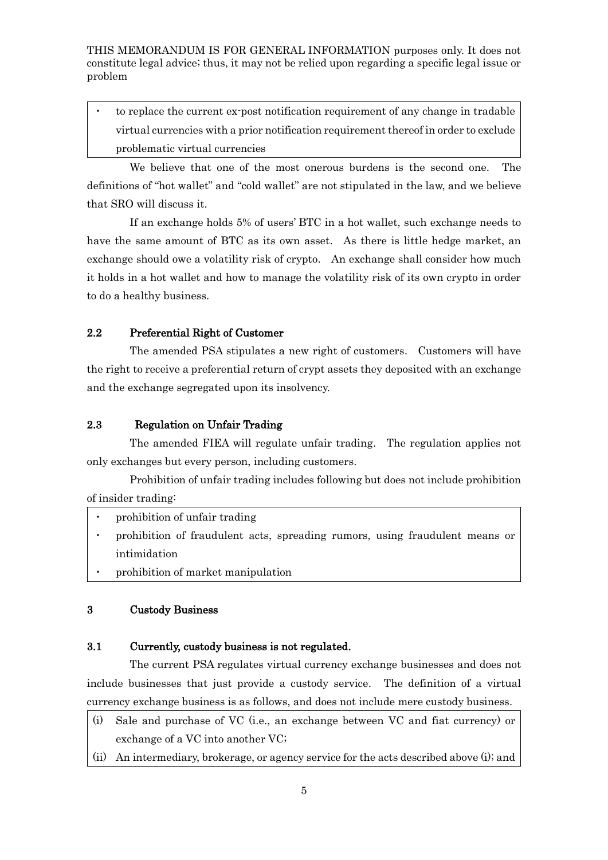to replace the current ex-post notification requirement of any change in tradable virtual currencies with a prior notification requirement thereof in order to exclude problematic virtual currencies

We believe that one of the most onerous burdens is the second one. The definitions of "hot wallet" and "cold wallet" are not stipulated in the law, and we believe that SRO will discuss it.

If an exchange holds 5% of users' BTC in a hot wallet, such exchange needs to have the same amount of BTC as its own asset. As there is little hedge market, an exchange should owe a volatility risk of crypto. An exchange shall consider how much it holds in a hot wallet and how to manage the volatility risk of its own crypto in order to do a healthy business.

## 2.2 Preferential Right of Customer

The amended PSA stipulates a new right of customers. Customers will have the right to receive a preferential return of crypt assets they deposited with an exchange and the exchange segregated upon its insolvency.

#### 2.3 Regulation on Unfair Trading

The amended FIEA will regulate unfair trading. The regulation applies not only exchanges but every person, including customers.

Prohibition of unfair trading includes following but does not include prohibition of insider trading:

- prohibition of unfair trading
- ・ prohibition of fraudulent acts, spreading rumors, using fraudulent means or intimidation
- prohibition of market manipulation

#### 3 Custody Business

### 3.1 Currently, custody business is not regulated.

The current PSA regulates virtual currency exchange businesses and does not include businesses that just provide a custody service. The definition of a virtual currency exchange business is as follows, and does not include mere custody business.

- (i) Sale and purchase of VC (i.e., an exchange between VC and fiat currency) or exchange of a VC into another VC;
- (ii) An intermediary, brokerage, or agency service for the acts described above (i); and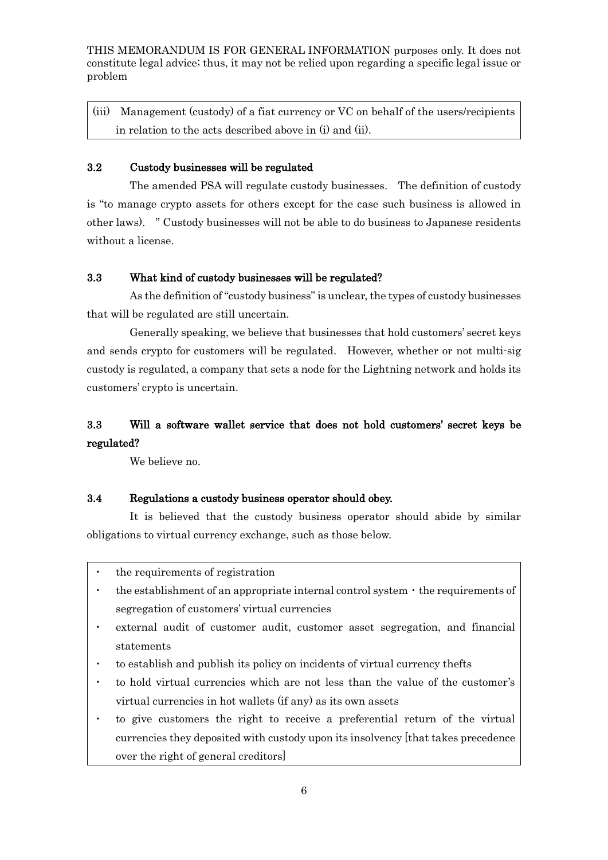(iii) Management (custody) of a fiat currency or VC on behalf of the users/recipients in relation to the acts described above in (i) and (ii).

## 3.2 Custody businesses will be regulated

The amended PSA will regulate custody businesses. The definition of custody is "to manage crypto assets for others except for the case such business is allowed in other laws). " Custody businesses will not be able to do business to Japanese residents without a license.

#### 3.3 What kind of custody businesses will be regulated?

As the definition of "custody business" is unclear, the types of custody businesses that will be regulated are still uncertain.

Generally speaking, we believe that businesses that hold customers' secret keys and sends crypto for customers will be regulated. However, whether or not multi-sig custody is regulated, a company that sets a node for the Lightning network and holds its customers' crypto is uncertain.

# 3.3 Will a software wallet service that does not hold customers' secret keys be regulated?

We believe no.

### 3.4 Regulations a custody business operator should obey.

It is believed that the custody business operator should abide by similar obligations to virtual currency exchange, such as those below.

- the requirements of registration
- the establishment of an appropriate internal control system  $\cdot$  the requirements of segregation of customers' virtual currencies
- external audit of customer audit, customer asset segregation, and financial statements
- to establish and publish its policy on incidents of virtual currency thefts
- to hold virtual currencies which are not less than the value of the customer's virtual currencies in hot wallets (if any) as its own assets
- to give customers the right to receive a preferential return of the virtual currencies they deposited with custody upon its insolvency [that takes precedence over the right of general creditors]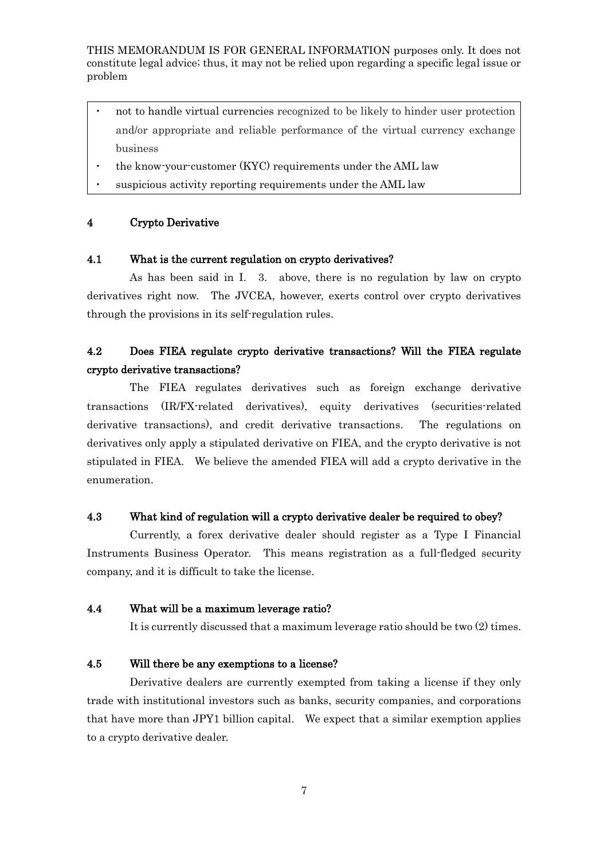- not to handle virtual currencies recognized to be likely to hinder user protection and/or appropriate and reliable performance of the virtual currency exchange business
- the know-your-customer (KYC) requirements under the AML law
- suspicious activity reporting requirements under the AML law

#### 4 Crypto Derivative

#### 4.1 What is the current regulation on crypto derivatives?

As has been said in I. 3. above, there is no regulation by law on crypto derivatives right now. The JVCEA, however, exerts control over crypto derivatives through the provisions in its self-regulation rules.

# 4.2 Does FIEA regulate crypto derivative transactions? Will the FIEA regulate crypto derivative transactions?

The FIEA regulates derivatives such as foreign exchange derivative transactions (IR/FX-related derivatives), equity derivatives (securities-related derivative transactions), and credit derivative transactions. The regulations on derivatives only apply a stipulated derivative on FIEA, and the crypto derivative is not stipulated in FIEA. We believe the amended FIEA will add a crypto derivative in the enumeration.

#### 4.3 What kind of regulation will a crypto derivative dealer be required to obey?

Currently, a forex derivative dealer should register as a Type I Financial Instruments Business Operator. This means registration as a full-fledged security company, and it is difficult to take the license.

#### 4.4 What will be a maximum leverage ratio?

It is currently discussed that a maximum leverage ratio should be two (2) times.

#### 4.5 Will there be any exemptions to a license?

Derivative dealers are currently exempted from taking a license if they only trade with institutional investors such as banks, security companies, and corporations that have more than JPY1 billion capital. We expect that a similar exemption applies to a crypto derivative dealer.